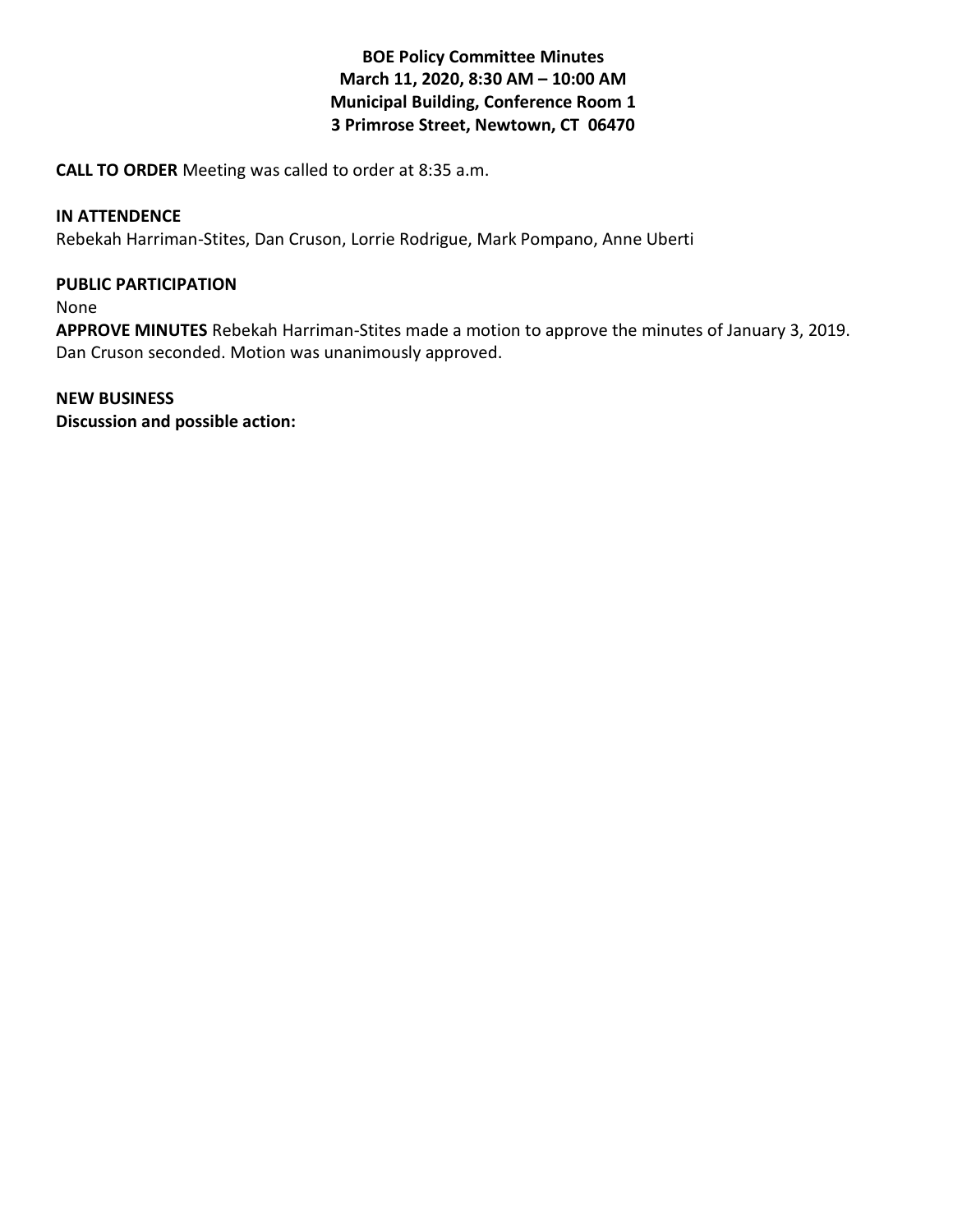## **BOE Policy Committee Minutes March 11, 2020, 8:30 AM – 10:00 AM Municipal Building, Conference Room 1 3 Primrose Street, Newtown, CT 06470**

**CALL TO ORDER** Meeting was called to order at 8:35 a.m.

## **IN ATTENDENCE**

Rebekah Harriman-Stites, Dan Cruson, Lorrie Rodrigue, Mark Pompano, Anne Uberti

## **PUBLIC PARTICIPATION**

None

**APPROVE MINUTES** Rebekah Harriman-Stites made a motion to approve the minutes of January 3, 2019. Dan Cruson seconded. Motion was unanimously approved.

#### **NEW BUSINESS**

**Discussion and possible action:**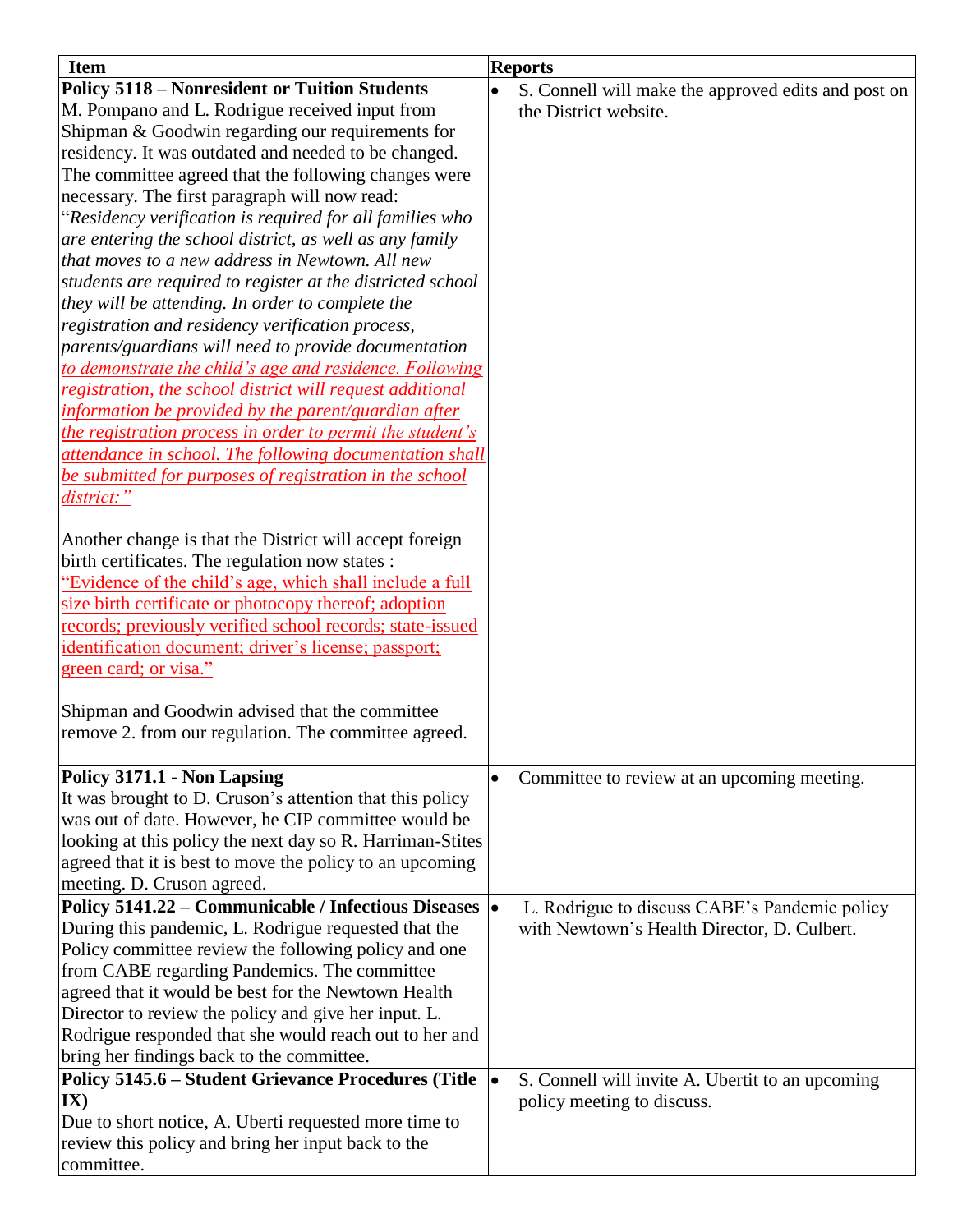| Item                                                       | <b>Reports</b> |                                                     |
|------------------------------------------------------------|----------------|-----------------------------------------------------|
| <b>Policy 5118 – Nonresident or Tuition Students</b>       |                | S. Connell will make the approved edits and post on |
| M. Pompano and L. Rodrigue received input from             |                | the District website.                               |
| Shipman & Goodwin regarding our requirements for           |                |                                                     |
| residency. It was outdated and needed to be changed.       |                |                                                     |
| The committee agreed that the following changes were       |                |                                                     |
| necessary. The first paragraph will now read:              |                |                                                     |
| "Residency verification is required for all families who   |                |                                                     |
| are entering the school district, as well as any family    |                |                                                     |
| that moves to a new address in Newtown. All new            |                |                                                     |
| students are required to register at the districted school |                |                                                     |
| they will be attending. In order to complete the           |                |                                                     |
| registration and residency verification process,           |                |                                                     |
| parents/guardians will need to provide documentation       |                |                                                     |
| to demonstrate the child's age and residence. Following    |                |                                                     |
| registration, the school district will request additional  |                |                                                     |
| information be provided by the parent/guardian after       |                |                                                     |
| the registration process in order to permit the student's  |                |                                                     |
| attendance in school. The following documentation shall    |                |                                                     |
| be submitted for purposes of registration in the school    |                |                                                     |
| district:"                                                 |                |                                                     |
|                                                            |                |                                                     |
| Another change is that the District will accept foreign    |                |                                                     |
| birth certificates. The regulation now states :            |                |                                                     |
| "Evidence of the child's age, which shall include a full   |                |                                                     |
| size birth certificate or photocopy thereof; adoption      |                |                                                     |
| records; previously verified school records; state-issued  |                |                                                     |
| identification document; driver's license; passport;       |                |                                                     |
| green card; or visa."                                      |                |                                                     |
|                                                            |                |                                                     |
| Shipman and Goodwin advised that the committee             |                |                                                     |
| remove 2. from our regulation. The committee agreed.       |                |                                                     |
|                                                            |                |                                                     |
| Policy 3171.1 - Non Lapsing                                |                | Committee to review at an upcoming meeting.         |
| It was brought to D. Cruson's attention that this policy   |                |                                                     |
| was out of date. However, he CIP committee would be        |                |                                                     |
| looking at this policy the next day so R. Harriman-Stites  |                |                                                     |
| agreed that it is best to move the policy to an upcoming   |                |                                                     |
| meeting. D. Cruson agreed.                                 |                |                                                     |
| Policy 5141.22 – Communicable / Infectious Diseases  .     |                | L. Rodrigue to discuss CABE's Pandemic policy       |
| During this pandemic, L. Rodrigue requested that the       |                | with Newtown's Health Director, D. Culbert.         |
| Policy committee review the following policy and one       |                |                                                     |
| from CABE regarding Pandemics. The committee               |                |                                                     |
| agreed that it would be best for the Newtown Health        |                |                                                     |
| Director to review the policy and give her input. L.       |                |                                                     |
| Rodrigue responded that she would reach out to her and     |                |                                                     |
| bring her findings back to the committee.                  |                |                                                     |
| <b>Policy 5145.6 – Student Grievance Procedures (Title</b> | ١o             | S. Connell will invite A. Ubertit to an upcoming    |
| $\mathbf{IX}$                                              |                | policy meeting to discuss.                          |
| Due to short notice, A. Uberti requested more time to      |                |                                                     |
| review this policy and bring her input back to the         |                |                                                     |
| committee.                                                 |                |                                                     |